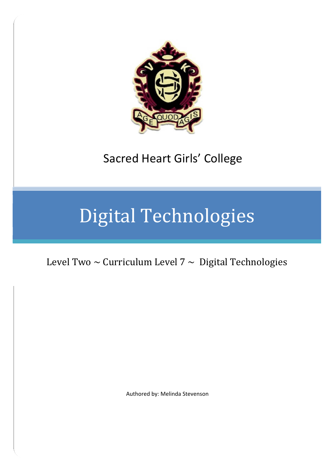

Sacred Heart Girls' College

# Digital Technologies

Level Two  $\sim$  Curriculum Level 7  $\sim$  Digital Technologies

Authored by: Melinda Stevenson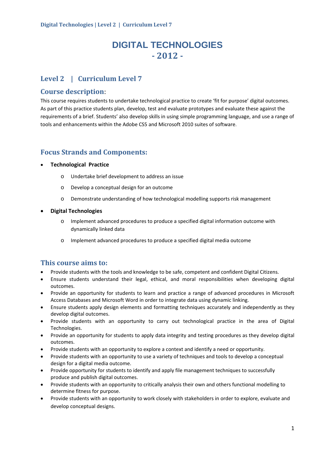# **DIGITAL TECHNOLOGIES**   $-2012 -$

## **Level 2 | Curriculum Level 7**

## **Course description**:

This course requires students to undertake technological practice to create 'fit for purpose' digital outcomes. As part of this practice students plan, develop, test and evaluate prototypes and evaluate these against the requirements of a brief. Students' also develop skills in using simple programming language, and use a range of tools and enhancements within the Adobe CS5 and Microsoft 2010 suites of software.

## **Focus Strands and Components:**

## **Technological Practice**

- o Undertake brief development to address an issue
- o Develop a conceptual design for an outcome
- o Demonstrate understanding of how technological modelling supports risk management
- **Digital Technologies**
	- o Implement advanced procedures to produce a specified digital information outcome with dynamically linked data
	- o Implement advanced procedures to produce a specified digital media outcome

## **This course aims to:**

- Provide students with the tools and knowledge to be safe, competent and confident Digital Citizens.
- Ensure students understand their legal, ethical, and moral responsibilities when developing digital outcomes.
- Provide an opportunity for students to learn and practice a range of advanced procedures in Microsoft Access Databases and Microsoft Word in order to integrate data using dynamic linking.
- Ensure students apply design elements and formatting techniques accurately and independently as they develop digital outcomes.
- Provide students with an opportunity to carry out technological practice in the area of Digital Technologies.
- Provide an opportunity for students to apply data integrity and testing procedures as they develop digital outcomes.
- Provide students with an opportunity to explore a context and identify a need or opportunity.
- Provide students with an opportunity to use a variety of techniques and tools to develop a conceptual design for a digital media outcome.
- Provide opportunity for students to identify and apply file management techniques to successfully produce and publish digital outcomes.
- Provide students with an opportunity to critically analysis their own and others functional modelling to determine fitness for purpose.
- Provide students with an opportunity to work closely with stakeholders in order to explore, evaluate and develop conceptual designs.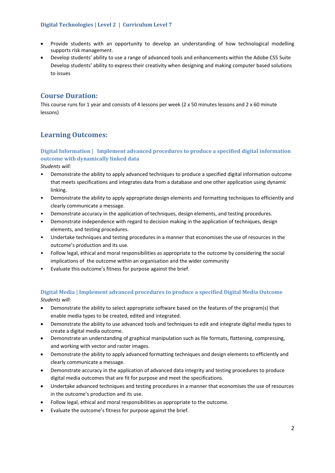## **Digital Technologies | Level 2 | Curriculum Level 7**

- Provide students with an opportunity to develop an understanding of how technological modelling supports risk management.
- Develop students' ability to use a range of advanced tools and enhancements within the Adobe CS5 Suite Develop students' ability to express their creativity when designing and making computer based solutions to issues

## **Course Duration:**

This course runs for 1 year and consists of 4 lessons per week (2 x 50 minutes lessons and 2 x 60 minute lessons)

## **Learning Outcomes:**

## **Digital Information | Implement advanced procedures to produce a specified digital information outcome with dynamically linked data**

*Students will:*

- Demonstrate the ability to apply advanced techniques to produce a specified digital information outcome that meets specifications and integrates data from a database and one other application using dynamic linking.
- Demonstrate the ability to apply appropriate design elements and formatting techniques to efficiently and clearly communicate a message.
- Demonstrate accuracy in the application of techniques, design elements, and testing procedures.
- Demonstrate independence with regard to decision making in the application of techniques, design elements, and testing procedures.
- Undertake techniques and testing procedures in a manner that economises the use of resources in the outcome's production and its use.
- Follow legal, ethical and moral responsibilities as appropriate to the outcome by considering the social implications of the outcome within an organisation and the wider community
- Evaluate this outcome's fitness for purpose against the brief.

# **Digital Media | Implement advanced procedures to produce a specified Digital Media Outcome**

*Students will:*

- Demonstrate the ability to select appropriate software based on the features of the program(s) that enable media types to be created, edited and integrated.
- Demonstrate the ability to use advanced tools and techniques to edit and integrate digital media types to create a digital media outcome.
- Demonstrate an understanding of graphical manipulation such as file formats, flattening, compressing, and working with vector and raster images.
- Demonstrate the ability to apply advanced formatting techniques and design elements to efficiently and clearly communicate a message.
- Demonstrate accuracy in the application of advanced data integrity and testing procedures to produce digital media outcomes that are fit for purpose and meet the specifications.
- Undertake advanced techniques and testing procedures in a manner that economises the use of resources in the outcome's production and its use.
- Follow legal, ethical and moral responsibilities as appropriate to the outcome.
- Evaluate the outcome's fitness for purpose against the brief.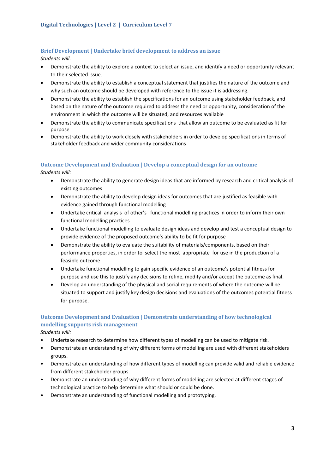## **Brief Development | Undertake brief development to address an issue**

*Students will:*

- Demonstrate the ability to explore a context to select an issue, and identify a need or opportunity relevant to their selected issue.
- Demonstrate the ability to establish a conceptual statement that justifies the nature of the outcome and why such an outcome should be developed with reference to the issue it is addressing.
- Demonstrate the ability to establish the specifications for an outcome using stakeholder feedback, and based on the nature of the outcome required to address the need or opportunity, consideration of the environment in which the outcome will be situated, and resources available
- Demonstrate the ability to communicate specifications that allow an outcome to be evaluated as fit for purpose
- Demonstrate the ability to work closely with stakeholders in order to develop specifications in terms of stakeholder feedback and wider community considerations

## **Outcome Development and Evaluation | Develop a conceptual design for an outcome**

*Students will:*

- Demonstrate the ability to generate design ideas that are informed by research and critical analysis of existing outcomes
- Demonstrate the ability to develop design ideas for outcomes that are justified as feasible with evidence gained through functional modelling
- Undertake critical analysis of other's functional modelling practices in order to inform their own functional modelling practices
- Undertake functional modelling to evaluate design ideas and develop and test a conceptual design to provide evidence of the proposed outcome's ability to be fit for purpose
- Demonstrate the ability to evaluate the suitability of materials/components, based on their performance properties, in order to select the most appropriate for use in the production of a feasible outcome
- Undertake functional modelling to gain specific evidence of an outcome's potential fitness for purpose and use this to justify any decisions to refine, modify and/or accept the outcome as final.
- Develop an understanding of the physical and social requirements of where the outcome will be situated to support and justify key design decisions and evaluations of the outcomes potential fitness for purpose.

# **Outcome Development and Evaluation | Demonstrate understanding of how technological modelling supports risk management**

*Students will:*

- Undertake research to determine how different types of modelling can be used to mitigate risk.
- Demonstrate an understanding of why different forms of modelling are used with different stakeholders groups.
- Demonstrate an understanding of how different types of modelling can provide valid and reliable evidence from different stakeholder groups.
- Demonstrate an understanding of why different forms of modelling are selected at different stages of technological practice to help determine what should or could be done.
- Demonstrate an understanding of functional modelling and prototyping.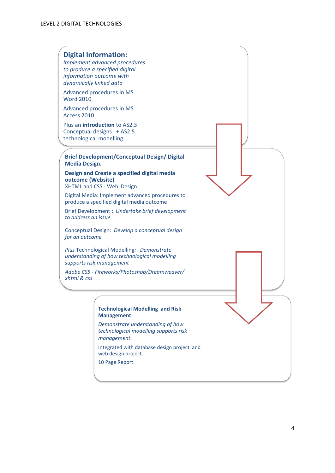## **Digital Information:** *Implement advanced procedures to produce a specified digital information outcome with dynamically linked data* Advanced procedures in MS Word 2010 Advanced procedures in MS Access 2010 Plus an **introduction** to AS2.3 Conceptual designs + AS2.5 technological modelling **Brief Development/Conceptual Design/ Digital Media Design. Design and Create a specified digital media outcome (Website)** XHTML and CSS ‐ Web Design Digital Media: Implement advanced procedures to produce a specified digital media outcome Brief Development : *Undertake brief development to address an issue* Conceptual Design: *Develop a conceptual design for an outcome Plus* Technological Modelling*: Demonstrate understanding of how technological modelling supports risk management Adobe CS5 ‐ Fireworks/Photoshop/Dreamweaver/ xhtml & css* **Technological Modelling and Risk Management** *Demonstrate understanding of how technological modelling supports risk management.*  Integrated with database design project and web design project. 10 Page Report.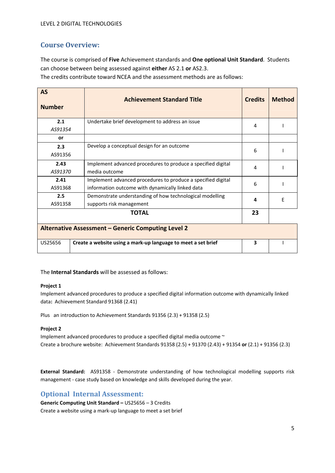## **Course Overview:**

The course is comprised of **Five** Achievement standards and **One optional Unit Standard**. Students can choose between being assessed against **either** AS 2.1 **or** AS2.3.

The credits contribute toward NCEA and the assessment methods are as follows:

| <b>AS</b><br><b>Number</b> | <b>Achievement Standard Title</b>                                                                                | <b>Credits</b> | <b>Method</b> |  |  |  |  |
|----------------------------|------------------------------------------------------------------------------------------------------------------|----------------|---------------|--|--|--|--|
| 2.1<br>AS91354             | Undertake brief development to address an issue                                                                  | 4              |               |  |  |  |  |
| or                         |                                                                                                                  |                |               |  |  |  |  |
| 2.3<br>AS91356             | Develop a conceptual design for an outcome                                                                       | 6              |               |  |  |  |  |
| 2.43<br>AS91370            | Implement advanced procedures to produce a specified digital<br>media outcome                                    | 4              |               |  |  |  |  |
| 2.41<br>AS91368            | Implement advanced procedures to produce a specified digital<br>information outcome with dynamically linked data | 6              |               |  |  |  |  |
| 2.5<br>AS91358             | Demonstrate understanding of how technological modelling<br>supports risk management                             | 4              | E             |  |  |  |  |
|                            | <b>TOTAL</b>                                                                                                     |                |               |  |  |  |  |
|                            | Alternative Assessment - Generic Computing Level 2                                                               |                |               |  |  |  |  |
| US25656                    | Create a website using a mark-up language to meet a set brief                                                    | 3              |               |  |  |  |  |

## The **Internal Standards** will be assessed as follows:

## **Project 1**

Implement advanced procedures to produce a specified digital information outcome with dynamically linked data**:** Achievement Standard 91368 (2.41)

Plus an introduction to Achievement Standards 91356 (2.3) + 91358 (2.5)

## **Project 2**

Implement advanced procedures to produce a specified digital media outcome  $\sim$ Create a brochure website: Achievement Standards 91358 (2.5) + 91370 (2.43) + 91354 **or** (2.1) + 91356 (2.3)

**External Standard:**  AS91358 ‐ Demonstrate understanding of how technological modelling supports risk management - case study based on knowledge and skills developed during the year.

## **Optional Internal Assessment:**

**Generic Computing Unit Standard –** US25656 – 3 Credits Create a website using a mark‐up language to meet a set brief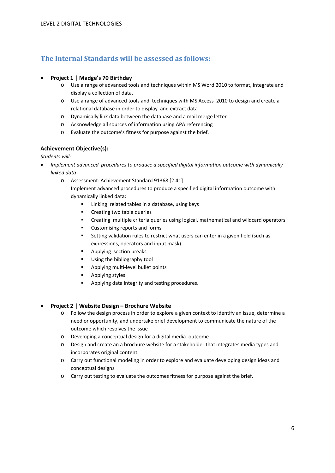## **The Internal Standards will be assessed as follows:**

## **Project 1 | Madge's 70 Birthday**

- o Use a range of advanced tools and techniques within MS Word 2010 to format, integrate and display a collection of data.
- o Use a range of advanced tools and techniques with MS Access 2010 to design and create a relational database in order to display and extract data
- o Dynamically link data between the database and a mail merge letter
- o Acknowledge all sources of information using APA referencing
- o Evaluate the outcome's fitness for purpose against the brief.

## **Achievement Objective(s):**

*Students will:*

- *Implement advanced procedures to produce a specified digital information outcome with dynamically linked data*
	- o Assessment: Achievement Standard 91368 [2.41]

Implement advanced procedures to produce a specified digital information outcome with dynamically linked data:

- Linking related tables in a database, using keys
- **•** Creating two table queries
- Creating multiple criteria queries using logical, mathematical and wildcard operators
- Customising reports and forms
- Setting validation rules to restrict what users can enter in a given field (such as expressions, operators and input mask).
- Applying section breaks
- **Using the bibliography tool**
- Applying multi‐level bullet points
- **Applying styles**
- Applying data integrity and testing procedures.

## **Project 2 | Website Design – Brochure Website**

- o Follow the design process in order to explore a given context to identify an issue, determine a need or opportunity, and undertake brief development to communicate the nature of the outcome which resolves the issue
- o Developing a conceptual design for a digital media outcome
- o Design and create an a brochure website for a stakeholder that integrates media types and incorporates original content
- o Carry out functional modeling in order to explore and evaluate developing design ideas and conceptual designs
- o Carry out testing to evaluate the outcomes fitness for purpose against the brief.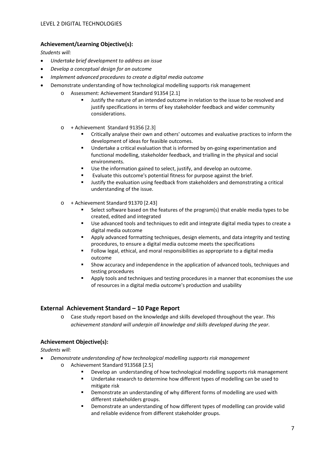## **Achievement/Learning Objective(s):**

*Students will:*

- *Undertake brief development to address an issue*
- *Develop a conceptual design for an outcome*
- *Implement advanced procedures to create a digital media outcome*
- Demonstrate understanding of how technological modelling supports risk management
	- o Assessment: Achievement Standard 91354 [2.1]
		- Justify the nature of an intended outcome in relation to the issue to be resolved and justify specifications in terms of key stakeholder feedback and wider community considerations.
		- o + Achievement Standard 91356 [2.3]
			- Critically analyse their own and others' outcomes and evaluative practices to inform the development of ideas for feasible outcomes.
			- Undertake a critical evaluation that is informed by on-going experimentation and functional modelling, stakeholder feedback, and trialling in the physical and social environments.
			- Use the information gained to select, justify, and develop an outcome.
			- Evaluate this outcome's potential fitness for purpose against the brief.
			- Justify the evaluation using feedback from stakeholders and demonstrating a critical understanding of the issue.
		- o + Achievement Standard 91370 [2.43]
			- Select software based on the features of the program(s) that enable media types to be created, edited and integrated
			- Use advanced tools and techniques to edit and integrate digital media types to create a digital media outcome
			- Apply advanced formatting techniques, design elements, and data integrity and testing procedures, to ensure a digital media outcome meets the specifications
			- Follow legal, ethical, and moral responsibilities as appropriate to a digital media outcome
			- Show accuracy and independence in the application of advanced tools, techniques and testing procedures
			- Apply tools and techniques and testing procedures in a manner that economises the use of resources in a digital media outcome's production and usability

## **External Achievement Standard – 10 Page Report**

o Case study report based on the knowledge and skills developed throughout the year. *This achievement standard will underpin all knowledge and skills developed during the year*.

## **Achievement Objective(s):**

*Students will:*

- *Demonstrate understanding of how technological modelling supports risk management*
	- o Achievement Standard 913568 [2.5]
		- Develop an understanding of how technological modelling supports risk management
		- **■** Undertake research to determine how different types of modelling can be used to mitigate risk
		- Demonstrate an understanding of why different forms of modelling are used with different stakeholders groups.
		- Demonstrate an understanding of how different types of modelling can provide valid and reliable evidence from different stakeholder groups.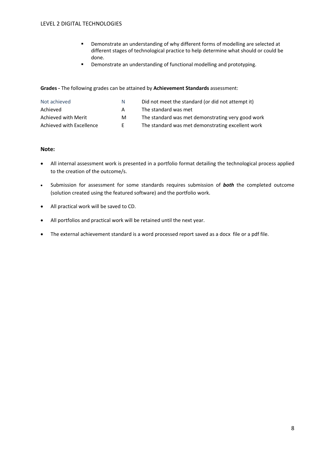- Demonstrate an understanding of why different forms of modelling are selected at different stages of technological practice to help determine what should or could be done.
- **•** Demonstrate an understanding of functional modelling and prototyping.

## **Grades ‐** The following grades can be attained by **Achievement Standards** assessment:

| Not achieved             | N  | Did not meet the standard (or did not attempt it) |
|--------------------------|----|---------------------------------------------------|
| Achieved                 | A  | The standard was met                              |
| Achieved with Merit      | м  | The standard was met demonstrating very good work |
| Achieved with Excellence | F. | The standard was met demonstrating excellent work |

## **Note:**

- All internal assessment work is presented in a portfolio format detailing the technological process applied to the creation of the outcome/s.
- Submission for assessment for some standards requires submission of *both* the completed outcome (solution created using the featured software) and the portfolio work.
- All practical work will be saved to CD.
- All portfolios and practical work will be retained until the next year.
- The external achievement standard is a word processed report saved as a docx file or a pdf file.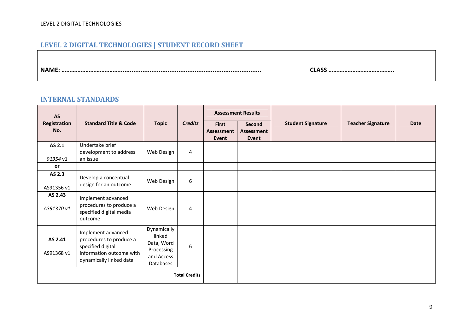## **LEVEL 2 DIGITAL TECHNOLOGIES | STUDENT RECORD SHEET**

**NAME: ………………………………............................................................................... CLASS**

**…………………………………..**

#### **INTERNAL STANDARDS**

| <b>AS</b>             |                                                                                                                           |                                                                              |                      |                                     | <b>Assessment Results</b>     |                          |                          |             |
|-----------------------|---------------------------------------------------------------------------------------------------------------------------|------------------------------------------------------------------------------|----------------------|-------------------------------------|-------------------------------|--------------------------|--------------------------|-------------|
| Registration<br>No.   | <b>Standard Title &amp; Code</b>                                                                                          | <b>Topic</b>                                                                 | <b>Credits</b>       | <b>First</b><br>Assessment<br>Event | Second<br>Assessment<br>Event | <b>Student Signature</b> | <b>Teacher Signature</b> | <b>Date</b> |
| AS 2.1<br>91354 v1    | Undertake brief<br>development to address<br>an issue                                                                     | Web Design                                                                   | 4                    |                                     |                               |                          |                          |             |
| or                    |                                                                                                                           |                                                                              |                      |                                     |                               |                          |                          |             |
| AS 2.3<br>AS91356 v1  | Develop a conceptual<br>design for an outcome                                                                             | Web Design                                                                   | 6                    |                                     |                               |                          |                          |             |
| AS 2.43<br>AS91370 v1 | Implement advanced<br>procedures to produce a<br>specified digital media<br>outcome                                       | Web Design                                                                   | 4                    |                                     |                               |                          |                          |             |
| AS 2.41<br>AS91368 v1 | Implement advanced<br>procedures to produce a<br>specified digital<br>information outcome with<br>dynamically linked data | Dynamically<br>linked<br>Data, Word<br>Processing<br>and Access<br>Databases | 6                    |                                     |                               |                          |                          |             |
|                       |                                                                                                                           |                                                                              | <b>Total Credits</b> |                                     |                               |                          |                          |             |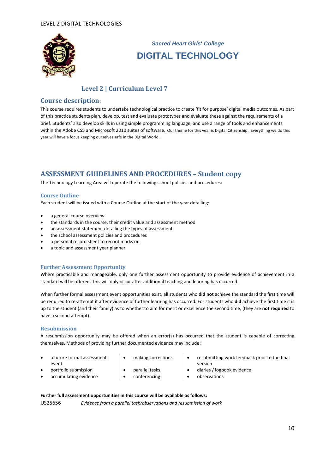

# *Sacred Heart Girls***'** *College* **DIGITAL TECHNOLOGY**

## **Level 2 | Curriculum Level 7**

## **Course description**:

This course requires students to undertake technological practice to create 'fit for purpose' digital media outcomes. As part of this practice students plan, develop, test and evaluate prototypes and evaluate these against the requirements of a brief. Students' also develop skills in using simple programming language, and use a range of tools and enhancements within the Adobe CS5 and Microsoft 2010 suites of software. Our theme for this year is Digital Citizenship. Everything we do this year will have a focus keeping ourselves safe in the Digital World.

## **ASSESSMENT GUIDELINES AND PROCEDURES – Student copy**

The Technology Learning Area will operate the following school policies and procedures:

## **Course Outline**

Each student will be issued with a Course Outline at the start of the year detailing:

- a general course overview
- the standards in the course, their credit value and assessment method
- an assessment statement detailing the types of assessment
- the school assessment policies and procedures
- a personal record sheet to record marks on
- a topic and assessment year planner

## **Further Assessment Opportunity**

Where practicable and manageable, only one further assessment opportunity to provide evidence of achievement in a standard will be offered. This will only occur after additional teaching and learning has occurred.

When further formal assessment event opportunities exist, all students who **did not** achieve the standard the first time will be required to re‐attempt it after evidence of further learning has occurred. For students who **did** achieve the first time it is up to the student (and their family) as to whether to aim for merit or excellence the second time, (they are **not required** to have a second attempt).

## **Resubmission**

A resubmission opportunity may be offered when an error(s) has occurred that the student is capable of correcting themselves. Methods of providing further documented evidence may include:

- a future formal assessment event
	- making corrections
- 
- 
- $\alpha$  accumulating evidence  $\alpha$   $\bullet$  conferencing  $\bullet$  observations
- 
- 
- -
- resubmitting work feedback prior to the final version
- portfolio submission parallel tasks diaries / logbook evidence
	-

#### **Further full assessment opportunities in this course will be available as follows:**

US25656 *Evidence from a parallel task/observations and resubmission of work*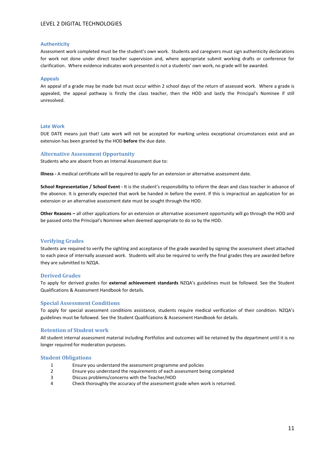#### **Authenticity**

Assessment work completed must be the student's own work. Students and caregivers must sign authenticity declarations for work not done under direct teacher supervision and, where appropriate submit working drafts or conference for clarification. Where evidence indicates work presented is not a students' own work, no grade will be awarded.

#### **Appeals**

An appeal of a grade may be made but must occur within 2 school days of the return of assessed work. Where a grade is appealed, the appeal pathway is firstly the class teacher, then the HOD and lastly the Principal's Nominee if still unresolved.

#### **Late Work**

DUE DATE means just that! Late work will not be accepted for marking unless exceptional circumstances exist and an extension has been granted by the HOD **before** the due date.

#### **Alternative Assessment Opportunity**

Students who are absent from an Internal Assessment due to:

**Illness ‐** A medical certificate will be required to apply for an extension or alternative assessment date.

**School Representation / School Event ‐** It is the student's responsibility to inform the dean and class teacher in advance of the absence. It is generally expected that work be handed in before the event. If this is impractical an application for an extension or an alternative assessment date must be sought through the HOD.

**Other Reasons –** all other applications for an extension or alternative assessment opportunity will go through the HOD and be passed onto the Principal's Nominee when deemed appropriate to do so by the HOD.

#### **Verifying Grades**

Students are required to verify the sighting and acceptance of the grade awarded by signing the assessment sheet attached to each piece of internally assessed work. Students will also be required to verify the final grades they are awarded before they are submitted to NZQA.

#### **Derived Grades**

To apply for derived grades for **external achievement standards** NZQA's guidelines must be followed. See the Student Qualifications & Assessment Handbook for details.

#### **Special Assessment Conditions**

To apply for special assessment conditions assistance, students require medical verification of their condition. NZQA's guidelines must be followed. See the Student Qualifications & Assessment Handbook for details.

#### **Retention of Student work**

All student internal assessment material including Portfolios and outcomes will be retained by the department until it is no longer required for moderation purposes.

#### **Student Obligations**

- 1 Ensure you understand the assessment programme and policies
- 2 Ensure you understand the requirements of each assessment being completed
- 3 Discuss problems/concerns with the Teacher/HOD
- 4 Check thoroughly the accuracy of the assessment grade when work is returned.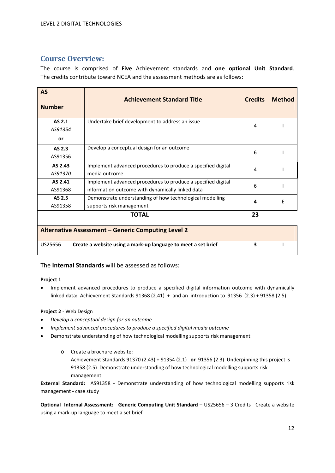## **Course Overview:**

The course is comprised of **Five** Achievement standards and **one optional Unit Standard**. The credits contribute toward NCEA and the assessment methods are as follows:

| <b>AS</b><br><b>Number</b> | <b>Achievement Standard Title</b>                             | <b>Credits</b>          | <b>Method</b> |
|----------------------------|---------------------------------------------------------------|-------------------------|---------------|
|                            |                                                               |                         |               |
| AS 2.1                     | Undertake brief development to address an issue               | 4                       |               |
| AS91354                    |                                                               |                         |               |
| or                         |                                                               |                         |               |
| AS 2.3                     | Develop a conceptual design for an outcome                    |                         |               |
| AS91356                    |                                                               | 6                       |               |
| AS 2.43                    | Implement advanced procedures to produce a specified digital  |                         |               |
| AS91370                    | media outcome                                                 | 4                       |               |
| AS 2.41                    | Implement advanced procedures to produce a specified digital  | 6                       |               |
| AS91368                    | information outcome with dynamically linked data              |                         |               |
| AS 2.5                     | Demonstrate understanding of how technological modelling      |                         | F             |
| AS91358                    | supports risk management                                      | 4                       |               |
|                            | <b>TOTAL</b>                                                  | 23                      |               |
|                            | Alternative Assessment - Generic Computing Level 2            |                         |               |
| US25656                    | Create a website using a mark-up language to meet a set brief | $\overline{\mathbf{3}}$ |               |

## The **Internal Standards** will be assessed as follows:

## **Project 1**

 Implement advanced procedures to produce a specified digital information outcome with dynamically linked data**:** Achievement Standards 91368 (2.41) + and an introduction to 91356 (2.3) + 91358 (2.5)

## **Project 2** ‐ Web Design

- *Develop a conceptual design for an outcome*
- *Implement advanced procedures to produce a specified digital media outcome*
- Demonstrate understanding of how technological modelling supports risk management
	- o Create a brochure website: Achievement Standards 91370 (2.43) + 91354 (2.1) **or** 91356 (2.3) Underpinning this project is 91358 (2.5) Demonstrate understanding of how technological modelling supports risk management.

**External Standard:**  AS91358 ‐ Demonstrate understanding of how technological modelling supports risk management ‐ case study

**Optional Internal Assessment: Generic Computing Unit Standard –** US25656 – 3 Credits Create a website using a mark‐up language to meet a set brief

Π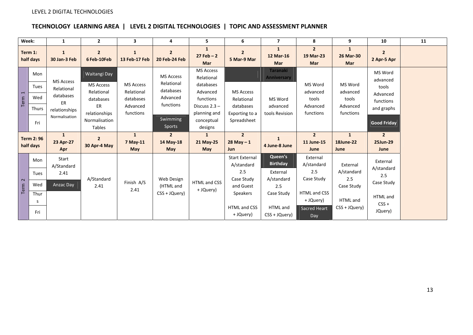## **TECHNOLOGY LEARNING AREA | LEVEL 2 DIGITAL TECHNOLOGIES | TOPIC AND ASSESSMENT PLANNER**

| Week:                            |                                    | 1                                                                                   | $\mathbf{2}$                                                                                                  | $\overline{\mathbf{3}}$                                              | 4                                                                                          | 5                                                                                                                                | 6                                                                            | $\overline{7}$                                                          | 8                                                              | 9                                                     | 10                                                                                        | 11 |
|----------------------------------|------------------------------------|-------------------------------------------------------------------------------------|---------------------------------------------------------------------------------------------------------------|----------------------------------------------------------------------|--------------------------------------------------------------------------------------------|----------------------------------------------------------------------------------------------------------------------------------|------------------------------------------------------------------------------|-------------------------------------------------------------------------|----------------------------------------------------------------|-------------------------------------------------------|-------------------------------------------------------------------------------------------|----|
| Term 1:                          | half days                          | $\mathbf{1}$<br>30 Jan-3 Feb                                                        | $\overline{2}$<br>6 Feb-10Feb                                                                                 | $\mathbf{1}$<br>13 Feb-17 Feb                                        | $\overline{2}$<br><b>20 Feb-24 Feb</b>                                                     | $\mathbf{1}$<br>$27$ Feb $-2$<br><b>Mar</b>                                                                                      | $\overline{2}$<br>5 Mar-9 Mar                                                | $\mathbf{1}$<br>12 Mar-16<br>Mar                                        | $\overline{2}$<br>19 Mar-23<br>Mar                             | $\mathbf{1}$<br>26 Mar-30<br><b>Mar</b>               | $\overline{2}$<br>2 Apr-5 Apr                                                             |    |
| Term 1                           | Mon<br>Tues<br>Wed<br>Thurs<br>Fri | <b>MS Access</b><br>Relational<br>databases<br>ER<br>relationships<br>Normalisation | Waitangi Day<br><b>MS Access</b><br>Relational<br>databases<br>ER<br>relationships<br>Normalisation<br>Tables | <b>MS Access</b><br>Relational<br>databases<br>Advanced<br>functions | <b>MS Access</b><br>Relational<br>databases<br>Advanced<br>functions<br>Swimming<br>Sports | <b>MS Access</b><br>Relational<br>databases<br>Advanced<br>functions<br>Discuss $2.3 -$<br>planning and<br>conceptual<br>designs | <b>MS Access</b><br>Relational<br>databases<br>Exporting to a<br>Spreadsheet | <b>Taranaki</b><br>Anniversary<br>MS Word<br>advanced<br>tools Revision | MS Word<br>advanced<br>tools<br>Advanced<br>functions          | MS Word<br>advanced<br>tools<br>Advanced<br>functions | MS Word<br>advanced<br>tools<br>Advanced<br>functions<br>and graphs<br><b>Good Friday</b> |    |
|                                  | <b>Term 2: 96</b><br>half days     | $\mathbf{1}$<br>23 Apr-27<br>Apr                                                    | $\overline{2}$<br>30 Apr-4 May                                                                                | $\mathbf{1}$<br>7 May-11<br>May                                      | $\overline{2}$<br>14 May-18<br>May                                                         | $\mathbf{1}$<br>21 May-25<br>May                                                                                                 | $\overline{2}$<br>$28$ May $-1$<br>Jun                                       | 1<br>4 June-8 June                                                      | $\overline{2}$<br>11 June-15<br>June                           | $\mathbf{1}$<br><b>18June-22</b><br>June              | $\overline{2}$<br>25Jun-29<br>June                                                        |    |
|                                  | Mon<br>Tues                        | Start<br>A/Standard<br>2.41                                                         |                                                                                                               |                                                                      |                                                                                            |                                                                                                                                  | <b>Start External</b><br>A/standard<br>2.5                                   | Queen's<br><b>Birthday</b><br>External                                  | External<br>A/standard<br>2.5                                  | External<br>A/standard                                | External<br>A/standard<br>2.5                                                             |    |
| $\overline{\phantom{a}}$<br>Term | Wed<br>Thur<br><sub>S</sub><br>Fri | Anzac Day                                                                           | A/Standard<br>2.41                                                                                            | Finish A/S<br>2.41                                                   | Web Design<br>(HTML and<br>CSS + JQuery)                                                   | HTML and CSS<br>+ JQuery)                                                                                                        | Case Study<br>and Guest<br><b>Speakers</b><br>HTML and CSS<br>+ JQuery)      | A/standard<br>2.5<br>Case Study<br>HTML and<br>$CSS + JQuery)$          | Case Study<br>HTML and CSS<br>+ JQuery)<br>Sacred Heart<br>Day | 2.5<br>Case Study<br>HTML and<br>$CSS + JQuery)$      | Case Study<br>HTML and<br>$CSS +$<br>JQuery)                                              |    |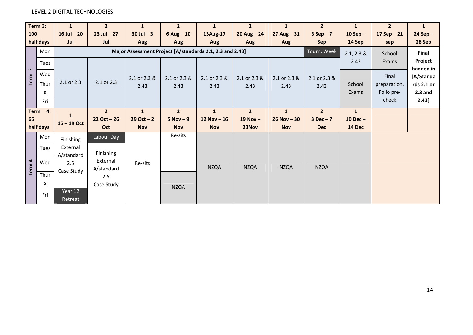|         | Term 3:   | $\mathbf{1}$       | $\overline{2}$ | $\mathbf{1}$  | $\overline{2}$                                           | $\mathbf{1}$ | $\overline{2}$ | $\mathbf{1}$   | $\overline{2}$ | $\mathbf{1}$ | $\overline{2}$ | $\mathbf{1}$           |
|---------|-----------|--------------------|----------------|---------------|----------------------------------------------------------|--------------|----------------|----------------|----------------|--------------|----------------|------------------------|
| 100     |           | $16$ Jul $- 20$    | $23$ Jul $-27$ | $30$ Jul $-3$ | $6$ Aug $-10$                                            | 13Aug-17     | $20$ Aug - 24  | $27$ Aug – 31  | $3 Sep-7$      | $10$ Sep $-$ | 17 Sep $-21$   | $24$ Sep $-$           |
|         | half days | Jul                | Jul            | Aug           | Aug                                                      | Aug          | Aug            | Aug            | <b>Sep</b>     | 14 Sep       | sep            | 28 Sep                 |
|         | Mon       |                    |                |               | Major Assessment Project [A/standards 2.1, 2.3 and 2.43] |              |                |                | Tourn. Week    | $2.1, 2.3$ & | School         | Final                  |
|         | Tues      |                    |                |               |                                                          |              |                |                |                | 2.43         | Exams          | Project                |
| Term 3  | Wed       |                    |                | 2.1 or 2.3 &  | 2.1 or 2.3 &                                             | 2.1 or 2.3 & | 2.1 or 2.3 &   | 2.1 or 2.3 &   | 2.1 or 2.3 &   |              | Final          | handed in<br>[A/Standa |
|         | Thur      | 2.1 or 2.3         | 2.1 or 2.3     | 2.43          | 2.43                                                     | 2.43         | 2.43           | 2.43           | 2.43           | School       | preparation.   | rds 2.1 or             |
|         | s         |                    |                |               |                                                          |              |                |                |                | Exams        | Folio pre-     | $2.3$ and              |
|         | Fri       |                    |                |               |                                                          |              |                |                |                |              | check          | 2.43]                  |
| Term 4: |           | 1                  | $\overline{2}$ | $\mathbf{1}$  | 2 <sup>2</sup>                                           | $\mathbf{1}$ | $\overline{2}$ | $\mathbf{1}$   | $\overline{2}$ | $\mathbf{1}$ |                |                        |
| 66      |           | $15 - 19$ Oct      | $22$ Oct $-26$ | $29$ Oct $-2$ | $5 Nov - 9$                                              | 12 Nov $-16$ | $19$ Nov $-$   | $26$ Nov $-30$ | $3 Dec - 7$    | $10$ Dec $-$ |                |                        |
|         | half days |                    | Oct            | <b>Nov</b>    | <b>Nov</b>                                               | <b>Nov</b>   | 23Nov          | <b>Nov</b>     | <b>Dec</b>     | 14 Dec       |                |                        |
|         | Mon       | Finishing          | Labour Day     |               | Re-sits                                                  |              |                |                |                |              |                |                        |
|         | Tues      | External           | Finishing      |               |                                                          |              |                |                |                |              |                |                        |
|         | Wed       | A/standard<br>2.5  | External       | Re-sits       |                                                          |              |                |                |                |              |                |                        |
| Term 4  |           | Case Study         | A/standard     |               |                                                          | <b>NZQA</b>  | <b>NZQA</b>    | <b>NZQA</b>    | <b>NZQA</b>    |              |                |                        |
|         | Thur      |                    | 2.5            |               |                                                          |              |                |                |                |              |                |                        |
|         | s         |                    | Case Study     |               | <b>NZQA</b>                                              |              |                |                |                |              |                |                        |
|         | Fri       | Year 12<br>Retreat |                |               |                                                          |              |                |                |                |              |                |                        |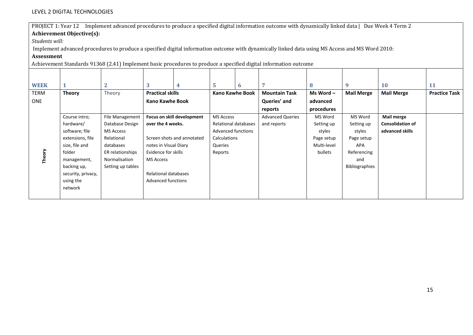PROJECT 1: Year 12 Implement advanced procedures to produce a specified digital information outcome with dynamically linked data | Due Week 4 Term 2 **Achievement Objective(s):**

*Students will:*

Implement advanced procedures to produce a specified digital information outcome with dynamically linked data using MS Access and MS Word 2010: **Assessment**

Achievement Standards 91368 (2.41) Implement basic procedures to produce a specified digital information outcome

| <b>WEEK</b> | 1                  | $\overline{2}$    | 3                       | 4                          | $\overline{5}$              | 6            | 7                       | 8           | 9                     | <b>10</b>               | <b>11</b>            |
|-------------|--------------------|-------------------|-------------------------|----------------------------|-----------------------------|--------------|-------------------------|-------------|-----------------------|-------------------------|----------------------|
| TERM        | <b>Theory</b>      | Theory            | <b>Practical skills</b> |                            | <b>Kano Kawhe Book</b>      |              | <b>Mountain Task</b>    | $Ms Word -$ | <b>Mail Merge</b>     | <b>Mail Merge</b>       | <b>Practice Task</b> |
| <b>ONE</b>  |                    |                   | Kano Kawhe Book         |                            |                             |              | Queries' and            | advanced    |                       |                         |                      |
|             |                    |                   |                         |                            |                             |              | reports                 | procedures  |                       |                         |                      |
|             | Course intro;      | File Management   |                         | Focus on skill development | <b>MS Access</b>            |              | <b>Advanced Queries</b> | MS Word     | MS Word               | Mail merge              |                      |
|             | hardware/          | Database Design   | over the 4 weeks.       |                            | <b>Relational databases</b> |              | and reports             | Setting up  | Setting up            | <b>Consolidation of</b> |                      |
|             | software; file     | MS Access         |                         |                            | <b>Advanced functions</b>   |              |                         | styles      | styles                | advanced skills         |                      |
|             | extensions, file   | Relational        |                         | Screen shots and annotated |                             | Calculations |                         | Page setup  | Page setup            |                         |                      |
|             | size, file and     | databases         | notes in Visual Diary   |                            | Queries                     |              |                         | Multi-level | APA                   |                         |                      |
| Theory      | folder             | ER relationships  | Evidence for skills     |                            | Reports                     |              |                         | bullets     | Referencing           |                         |                      |
|             | management,        | Normalisation     | <b>MS Access</b>        |                            |                             |              |                         |             | and                   |                         |                      |
|             | backing up,        | Setting up tables |                         |                            |                             |              |                         |             | <b>Bibliographies</b> |                         |                      |
|             | security, privacy, |                   | Relational databases    |                            |                             |              |                         |             |                       |                         |                      |
|             | using the          |                   | Advanced functions      |                            |                             |              |                         |             |                       |                         |                      |
|             | network            |                   |                         |                            |                             |              |                         |             |                       |                         |                      |
|             |                    |                   |                         |                            |                             |              |                         |             |                       |                         |                      |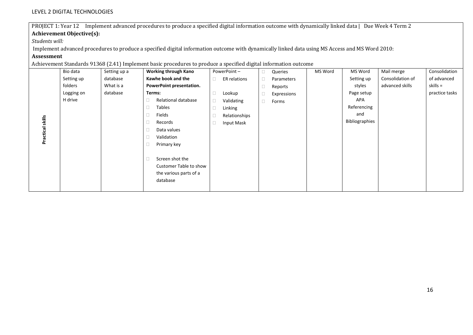PROJECT 1: Year 12 Implement advanced procedures to produce a specified digital information outcome with dynamically linked data | Due Week 4 Term 2 **Achievement Objective(s):**

*Students will:*

Implement advanced procedures to produce a specified digital information outcome with dynamically linked data using MS Access and MS Word 2010:

## **Assessment**

Achievement Standards 91368 (2.41) Implement basic procedures to produce a specified digital information outcome

|           | Bio data   | Setting up a | <b>Working through Kano</b>   |        | PowerPoint-   | $\Box$ | Queries     | MS Word | MS Word        | Mail merge       | Consolidation  |
|-----------|------------|--------------|-------------------------------|--------|---------------|--------|-------------|---------|----------------|------------------|----------------|
|           | Setting up | database     | Kawhe book and the            | $\Box$ | ER relations  | $\Box$ | Parameters  |         | Setting up     | Consolidation of | of advanced    |
|           | folders    | What is a    | PowerPoint presentation.      |        |               | $\Box$ | Reports     |         | styles         | advanced skills  | $skills =$     |
|           | Logging on | database     | Terms:                        | $\Box$ | Lookup        | $\Box$ | Expressions |         | Page setup     |                  | practice tasks |
|           | H drive    |              | $\Box$<br>Relational database | $\Box$ | Validating    | $\Box$ | Forms       |         | APA            |                  |                |
|           |            |              | $\Box$<br>Tables              | $\Box$ | Linking       |        |             |         | Referencing    |                  |                |
|           |            |              | $\Box$<br>Fields              | $\Box$ | Relationships |        |             |         | and            |                  |                |
| skills    |            |              | $\Box$<br>Records             | $\Box$ | Input Mask    |        |             |         | Bibliographies |                  |                |
|           |            |              | $\Box$<br>Data values         |        |               |        |             |         |                |                  |                |
| Practical |            |              | $\Box$<br>Validation          |        |               |        |             |         |                |                  |                |
|           |            |              | $\Box$<br>Primary key         |        |               |        |             |         |                |                  |                |
|           |            |              |                               |        |               |        |             |         |                |                  |                |
|           |            |              | $\Box$<br>Screen shot the     |        |               |        |             |         |                |                  |                |
|           |            |              | Customer Table to show        |        |               |        |             |         |                |                  |                |
|           |            |              | the various parts of a        |        |               |        |             |         |                |                  |                |
|           |            |              | database                      |        |               |        |             |         |                |                  |                |
|           |            |              |                               |        |               |        |             |         |                |                  |                |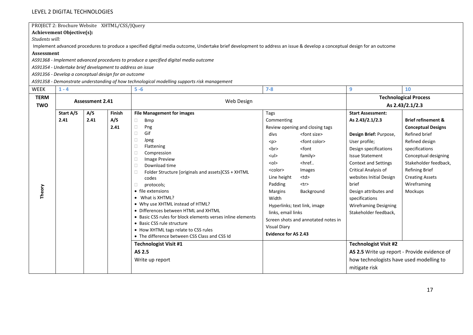## PROJECT 2: Brochure Website XHTML/CSS/JQuery

**Achievement Objective(s):**

*Students will:*

Implement advanced procedures to produce a specified digital media outcome, Undertake brief development to address an issue & develop a conceptual design for an outcome

#### **Assessment**

*AS91368 ‐ Implement advanced procedures to produce <sup>a</sup> specified digital media outcome*

*AS91354 ‐ Undertake brief development to address an issue*

*AS91356 ‐ Develop <sup>a</sup> conceptual design for an outcome*

*AS91358 ‐ Demonstrate understanding of how technological modelling supports risk management*

| <b>WEEK</b>               | $1 - 4$           |                        |                       | $5 - 6$                                                                                                                                                                                                                                                                                                                                                                                                                                                                                                                                                                                                                                                 | $7-8$                                                                              |                                                                                                                                                                                                                                                                                                    | 9                                                                                                   | 10                                                                                                                                                                                                                                                                                                                                                                                                                                                                                    |                                                                                                                                                                                                                                               |
|---------------------------|-------------------|------------------------|-----------------------|---------------------------------------------------------------------------------------------------------------------------------------------------------------------------------------------------------------------------------------------------------------------------------------------------------------------------------------------------------------------------------------------------------------------------------------------------------------------------------------------------------------------------------------------------------------------------------------------------------------------------------------------------------|------------------------------------------------------------------------------------|----------------------------------------------------------------------------------------------------------------------------------------------------------------------------------------------------------------------------------------------------------------------------------------------------|-----------------------------------------------------------------------------------------------------|---------------------------------------------------------------------------------------------------------------------------------------------------------------------------------------------------------------------------------------------------------------------------------------------------------------------------------------------------------------------------------------------------------------------------------------------------------------------------------------|-----------------------------------------------------------------------------------------------------------------------------------------------------------------------------------------------------------------------------------------------|
| <b>TERM</b><br><b>TWO</b> |                   | <b>Assessment 2.41</b> |                       | Web Design                                                                                                                                                                                                                                                                                                                                                                                                                                                                                                                                                                                                                                              |                                                                                    |                                                                                                                                                                                                                                                                                                    |                                                                                                     | <b>Technological Process</b><br>As 2.43/2.1/2.3                                                                                                                                                                                                                                                                                                                                                                                                                                       |                                                                                                                                                                                                                                               |
| Theory                    | Start A/S<br>2.41 | A/S<br>2.41            | Finish<br>A/S<br>2.41 | <b>File Management for images</b><br>$\Box$<br><b>Bmp</b><br>$\Box$<br>Png<br>Gif<br>$\Box$<br>П<br>Jpeg<br>$\Box$<br>Flattening<br>$\Box$<br>Compression<br><b>Image Preview</b><br>Download time<br>Folder Structure [originals and assets]CSS + XHTML<br>codes<br>protocols;<br>• file extensions<br>• What is XHTML?<br>• Why use XHTML instead of HTML?<br>• Differences between HTML and XHTML<br>• Basic CSS rules for block elements verses inline elements<br>• Basic CSS rule structure<br>• How XHTML tags relate to CSS rules<br>• The difference between CSS Class and CSS Id<br><b>Technologist Visit #1</b><br>AS 2.5<br>Write up report | <b>Tags</b><br>Commenting<br>divs<br>< p ><br><br><sub>2</sub><br>$ul$<br>$ol$<br> | Review opening and closing tags<br><font size=""><br/><font color=""><br/><font<br>family&gt;<br/><href<br>Images<br/><td><br/><math>&lt;</math>tr<math>&gt;</math><br/>Background<br/>Hyperlinks; text link, image<br/>Screen shots and annotated notes in</td></href<br></font<br></font></font> | <br>$<$ tr $>$<br>Background<br>Hyperlinks; text link, image<br>Screen shots and annotated notes in | <b>Start Assessment:</b><br>As 2.43/2.1/2.3<br>Design Brief: Purpose,<br>User profile;<br>Design specifications<br><b>Issue Statement</b><br><b>Context and Settings</b><br>Critical Analysis of<br>websites Initial Design<br>brief<br>Design attributes and<br>specifications<br><b>Wireframing Designing</b><br>Stakeholder feedback.<br><b>Technologist Visit #2</b><br>AS 2.5 Write up report - Provide evidence of<br>how technologists have used modelling to<br>mitigate risk | <b>Brief refinement &amp;</b><br><b>Conceptual Designs</b><br>Refined brief<br>Refined design<br>specifications<br>Conceptual designing<br>Stakeholder feedback,<br><b>Refining Brief</b><br><b>Creating Assets</b><br>Wireframing<br>Mockups |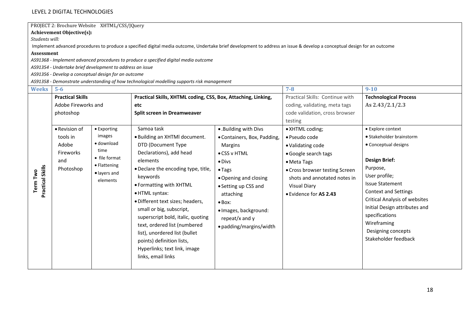## PROJECT 2: Brochure Website XHTML/CSS/JQuery

**Achievement Objective(s):**

*Students will:*

Implement advanced procedures to produce <sup>a</sup> specified digital media outcome, Undertake brief development to address an issue & develop <sup>a</sup> conceptual design for an outcome

**Assessment**

*AS91368 ‐ Implement advanced procedures to produce <sup>a</sup> specified digital media outcome*

*AS91354 ‐ Undertake brief development to address an issue*

*AS91356 ‐ Develop <sup>a</sup> conceptual design for an outcome*

*AS91358 ‐ Demonstrate understanding of how technological modelling supports risk management*

#### **Weeks 5‐6**

| <b>Weeks</b>            | $5-6$                   |                                  |                                                               |                             | 7-8                             | $9 - 10$                      |
|-------------------------|-------------------------|----------------------------------|---------------------------------------------------------------|-----------------------------|---------------------------------|-------------------------------|
|                         | <b>Practical Skills</b> |                                  | Practical Skills, XHTML coding, CSS, Box, Attaching, Linking, |                             | Practical Skills: Continue with | <b>Technological Process</b>  |
|                         | Adobe Fireworks and     |                                  | etc                                                           |                             | coding, validating, meta tags   | As $2.43/2.1/2.3$             |
|                         | photoshop               |                                  | <b>Split screen in Dreamweaver</b>                            |                             | code validation, cross browser  |                               |
|                         |                         |                                  |                                                               |                             | testing                         |                               |
|                         | • Revision of           | • Exporting                      | Samoa task                                                    | . Building with Divs        | • XHTML coding;                 | • Explore context             |
|                         | tools in                | images                           | . Building an XHTMI document.                                 | • Containers, Box, Padding, | • Pseudo code                   | • Stakeholder brainstorm      |
|                         | Adobe                   | · download                       | DTD (Document Type                                            | Margins                     | • Validating code               | • Conceptual designs          |
|                         | Fireworks               | time                             | Declarations), add head                                       | $\bullet$ CSS v HTML        | • Google search tags            |                               |
|                         | and                     | • file format                    | elements                                                      | $\bullet$ Divs              | • Meta Tags                     | <b>Design Brief:</b>          |
|                         | Photoshop               | • Flattening                     | • Declare the encoding type, title,                           | $\bullet$ Tags              | • Cross browser testing Screen  | Purpose,                      |
| Two                     |                         | $\bullet$ layers and<br>elements | keywords                                                      | . Opening and closing       | shots and annotated notes in    | User profile;                 |
| Term                    |                         |                                  | • Formatting with XHTML                                       | • Setting up CSS and        | <b>Visual Diary</b>             | <b>Issue Statement</b>        |
| <b>Practical Skills</b> |                         |                                  | • HTML syntax:                                                | attaching                   | • Evidence for AS 2.43          | Context and Settings          |
|                         |                         |                                  | • Different text sizes; headers,                              | $\bullet$ Box:              |                                 | Critical Analysis of websites |
|                         |                         |                                  | small or big, subscript,                                      | · Images, background:       |                                 | Initial Design attributes and |
|                         |                         |                                  | superscript bold, italic, quoting                             | repeat/x and y              |                                 | specifications                |
|                         |                         |                                  | text, ordered list (numbered                                  | • padding/margins/width     |                                 | Wireframing                   |
|                         |                         |                                  | list), unordered list (bullet                                 |                             |                                 | Designing concepts            |
|                         |                         |                                  | points) definition lists,                                     |                             |                                 | Stakeholder feedback          |
|                         |                         |                                  | Hyperlinks; text link, image                                  |                             |                                 |                               |
|                         |                         |                                  | links, email links                                            |                             |                                 |                               |
|                         |                         |                                  |                                                               |                             |                                 |                               |